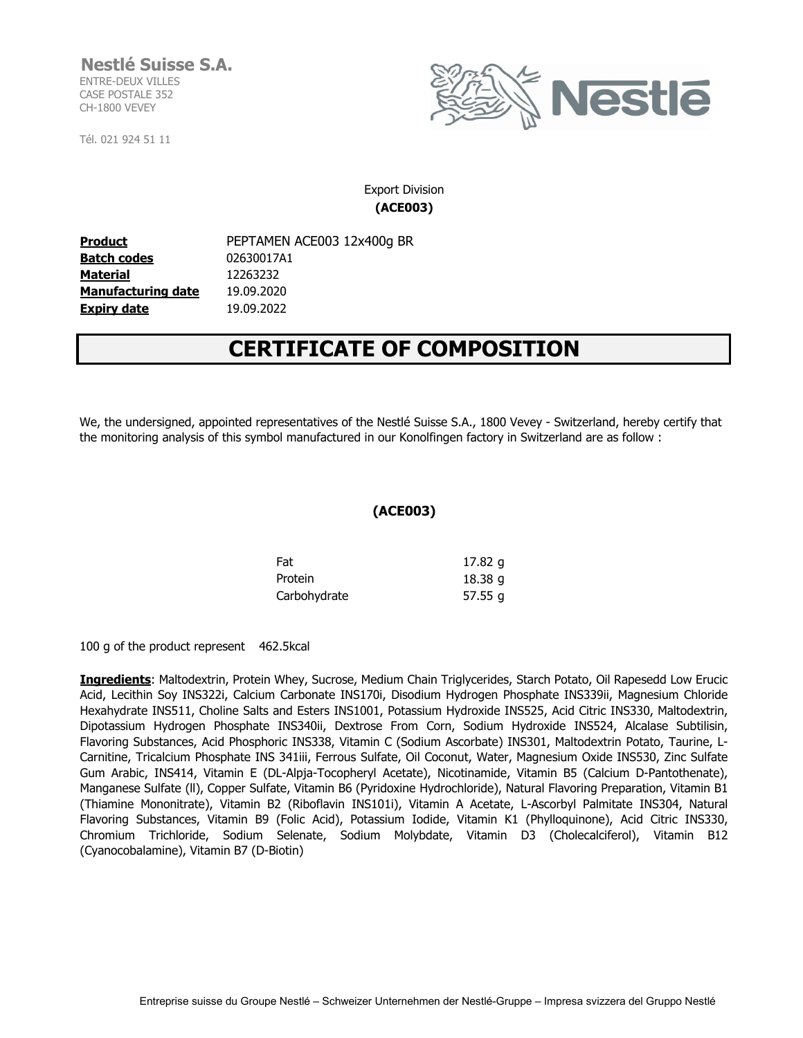## **Nestlé Suisse S.A.** ENTRE-DEUX VILLES

CASE POSTALE 352 CH-1800 VEVEY

Tél. 021 924 51 11



### Export Division **(ACE003)**

**Product** PEPTAMEN ACE003 12x400g BR **Batch codes** 02630017A1 **Material Manufacturing date** 19.09.2020 **Expiry date** 19.09.2022 12263232

# **CERTIFICATE OF COMPOSITION**

We, the undersigned, appointed representatives of the Nestlé Suisse S.A., 1800 Vevey - Switzerland, hereby certify that the monitoring analysis of this symbol manufactured in our Konolfingen factory in Switzerland are as follow :

#### **(ACE003)**

| Fat          | 17.82 g   |
|--------------|-----------|
| Protein      | 18.38 g   |
| Carbohydrate | 57.55 $g$ |

100 g of the product represent 462.5kcal

**Ingredients**: Maltodextrin, Protein Whey, Sucrose, Medium Chain Triglycerides, Starch Potato, Oil Rapesedd Low Erucic Acid, Lecithin Soy INS322i, Calcium Carbonate INS170i, Disodium Hydrogen Phosphate INS339ii, Magnesium Chloride Hexahydrate INS511, Choline Salts and Esters INS1001, Potassium Hydroxide INS525, Acid Citric INS330, Maltodextrin, Dipotassium Hydrogen Phosphate INS340ii, Dextrose From Corn, Sodium Hydroxide INS524, Alcalase Subtilisin, Flavoring Substances, Acid Phosphoric INS338, Vitamin C (Sodium Ascorbate) INS301, Maltodextrin Potato, Taurine, L-Carnitine, Tricalcium Phosphate INS 341iii, Ferrous Sulfate, Oil Coconut, Water, Magnesium Oxide INS530, Zinc Sulfate Gum Arabic, INS414, Vitamin E (DL-Alpja-Tocopheryl Acetate), Nicotinamide, Vitamin B5 (Calcium D-Pantothenate), Manganese Sulfate (ll), Copper Sulfate, Vitamin B6 (Pyridoxine Hydrochloride), Natural Flavoring Preparation, Vitamin B1 (Thiamine Mononitrate), Vitamin B2 (Riboflavin INS101i), Vitamin A Acetate, L-Ascorbyl Palmitate INS304, Natural Flavoring Substances, Vitamin B9 (Folic Acid), Potassium Iodide, Vitamin K1 (Phylloquinone), Acid Citric INS330, Chromium Trichloride, Sodium Selenate, Sodium Molybdate, Vitamin D3 (Cholecalciferol), Vitamin B12 (Cyanocobalamine), Vitamin B7 (D-Biotin)